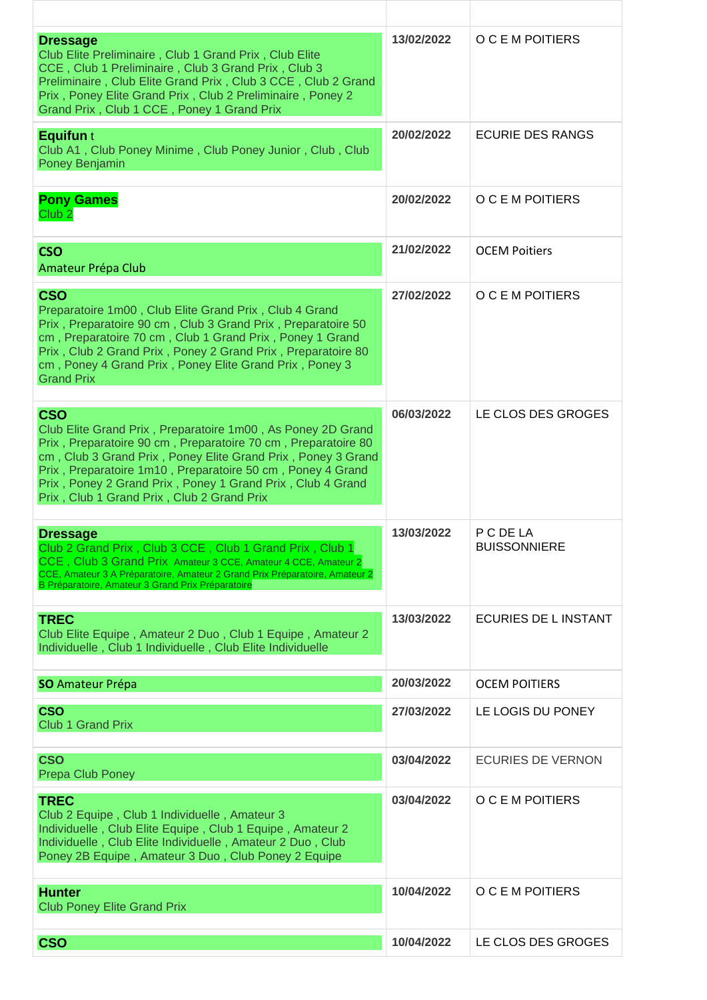| <b>Dressage</b><br>Club Elite Preliminaire, Club 1 Grand Prix, Club Elite<br>CCE, Club 1 Preliminaire, Club 3 Grand Prix, Club 3<br>Preliminaire, Club Elite Grand Prix, Club 3 CCE, Club 2 Grand<br>Prix, Poney Elite Grand Prix, Club 2 Preliminaire, Poney 2<br>Grand Prix, Club 1 CCE, Poney 1 Grand Prix                                                                        | 13/02/2022 | O C E M POITIERS                 |
|--------------------------------------------------------------------------------------------------------------------------------------------------------------------------------------------------------------------------------------------------------------------------------------------------------------------------------------------------------------------------------------|------------|----------------------------------|
| <b>Equifun</b> t<br>Club A1, Club Poney Minime, Club Poney Junior, Club, Club<br><b>Poney Benjamin</b>                                                                                                                                                                                                                                                                               | 20/02/2022 | <b>ECURIE DES RANGS</b>          |
| <b>Pony Games</b><br>Club <sub>2</sub>                                                                                                                                                                                                                                                                                                                                               | 20/02/2022 | O C E M POITIERS                 |
| <b>CSO</b><br>Amateur Prépa Club                                                                                                                                                                                                                                                                                                                                                     | 21/02/2022 | <b>OCEM Poitiers</b>             |
| <b>CSO</b><br>Preparatoire 1m00, Club Elite Grand Prix, Club 4 Grand<br>Prix, Preparatoire 90 cm, Club 3 Grand Prix, Preparatoire 50<br>cm, Preparatoire 70 cm, Club 1 Grand Prix, Poney 1 Grand<br>Prix, Club 2 Grand Prix, Poney 2 Grand Prix, Preparatoire 80<br>cm, Poney 4 Grand Prix, Poney Elite Grand Prix, Poney 3<br><b>Grand Prix</b>                                     | 27/02/2022 | O C E M POITIERS                 |
| <b>CSO</b><br>Club Elite Grand Prix, Preparatoire 1m00, As Poney 2D Grand<br>Prix, Preparatoire 90 cm, Preparatoire 70 cm, Preparatoire 80<br>cm, Club 3 Grand Prix, Poney Elite Grand Prix, Poney 3 Grand<br>Prix, Preparatoire 1m10, Preparatoire 50 cm, Poney 4 Grand<br>Prix, Poney 2 Grand Prix, Poney 1 Grand Prix, Club 4 Grand<br>Prix, Club 1 Grand Prix, Club 2 Grand Prix | 06/03/2022 | LE CLOS DES GROGES               |
| <b>Dressage</b><br>Club 2 Grand Prix, Club 3 CCE, Club 1 Grand Prix, Club 1<br>CCE, Club 3 Grand Prix Amateur 3 CCE, Amateur 4 CCE, Amateur 2<br>CCE, Amateur 3 A Préparatoire, Amateur 2 Grand Prix Préparatoire, Amateur 2<br>B Préparatoire, Amateur 3 Grand Prix Préparatoire                                                                                                    | 13/03/2022 | P C DE LA<br><b>BUISSONNIERE</b> |
| <b>TREC</b><br>Club Elite Equipe, Amateur 2 Duo, Club 1 Equipe, Amateur 2<br>Individuelle, Club 1 Individuelle, Club Elite Individuelle                                                                                                                                                                                                                                              | 13/03/2022 | ECURIES DE L INSTANT             |
| <b>SO</b> Amateur Prépa                                                                                                                                                                                                                                                                                                                                                              | 20/03/2022 | <b>OCEM POITIERS</b>             |
| <b>CSO</b><br><b>Club 1 Grand Prix</b>                                                                                                                                                                                                                                                                                                                                               | 27/03/2022 | LE LOGIS DU PONEY                |
| <b>CSO</b><br><b>Prepa Club Poney</b>                                                                                                                                                                                                                                                                                                                                                | 03/04/2022 | <b>ECURIES DE VERNON</b>         |
| <b>TREC</b><br>Club 2 Equipe, Club 1 Individuelle, Amateur 3<br>Individuelle, Club Elite Equipe, Club 1 Equipe, Amateur 2<br>Individuelle, Club Elite Individuelle, Amateur 2 Duo, Club<br>Poney 2B Equipe, Amateur 3 Duo, Club Poney 2 Equipe                                                                                                                                       | 03/04/2022 | O C E M POITIERS                 |
| <b>Hunter</b><br><b>Club Poney Elite Grand Prix</b>                                                                                                                                                                                                                                                                                                                                  | 10/04/2022 | O C E M POITIERS                 |
| <b>CSO</b>                                                                                                                                                                                                                                                                                                                                                                           | 10/04/2022 | LE CLOS DES GROGES               |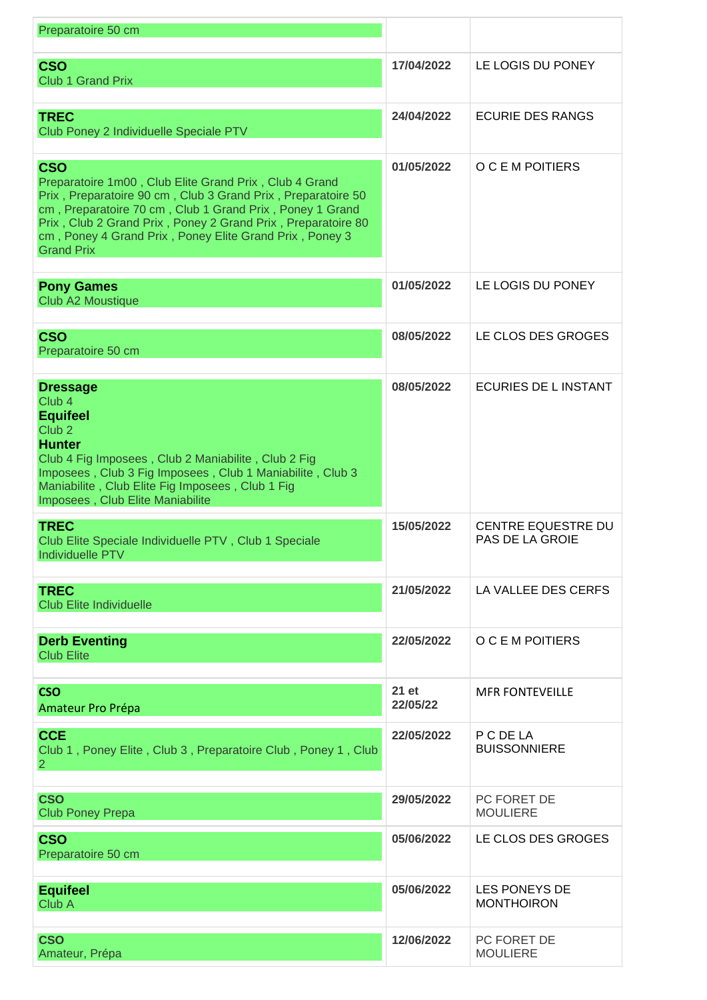| Preparatoire 50 cm                                                                                                                                                                                                                                                                                                                               |                   |                                                     |
|--------------------------------------------------------------------------------------------------------------------------------------------------------------------------------------------------------------------------------------------------------------------------------------------------------------------------------------------------|-------------------|-----------------------------------------------------|
| <b>CSO</b><br><b>Club 1 Grand Prix</b>                                                                                                                                                                                                                                                                                                           | 17/04/2022        | LE LOGIS DU PONEY                                   |
| <b>TREC</b><br>Club Poney 2 Individuelle Speciale PTV                                                                                                                                                                                                                                                                                            | 24/04/2022        | <b>ECURIE DES RANGS</b>                             |
| <b>CSO</b><br>Preparatoire 1m00, Club Elite Grand Prix, Club 4 Grand<br>Prix, Preparatoire 90 cm, Club 3 Grand Prix, Preparatoire 50<br>cm, Preparatoire 70 cm, Club 1 Grand Prix, Poney 1 Grand<br>Prix, Club 2 Grand Prix, Poney 2 Grand Prix, Preparatoire 80<br>cm, Poney 4 Grand Prix, Poney Elite Grand Prix, Poney 3<br><b>Grand Prix</b> | 01/05/2022        | O C E M POITIERS                                    |
| <b>Pony Games</b><br>Club A2 Moustique                                                                                                                                                                                                                                                                                                           | 01/05/2022        | LE LOGIS DU PONEY                                   |
| <b>CSO</b><br>Preparatoire 50 cm                                                                                                                                                                                                                                                                                                                 | 08/05/2022        | LE CLOS DES GROGES                                  |
| <b>Dressage</b><br>Club <sub>4</sub><br><b>Equifeel</b><br>Club <sub>2</sub><br><b>Hunter</b><br>Club 4 Fig Imposees, Club 2 Maniabilite, Club 2 Fig<br>Imposees, Club 3 Fig Imposees, Club 1 Maniabilite, Club 3<br>Maniabilite, Club Elite Fig Imposees, Club 1 Fig<br>Imposees, Club Elite Maniabilite                                        | 08/05/2022        | ECURIES DE L INSTANT                                |
| <b>TREC</b><br>Club Elite Speciale Individuelle PTV, Club 1 Speciale<br>Individuelle PTV                                                                                                                                                                                                                                                         | 15/05/2022        | <b>CENTRE EQUESTRE DU</b><br><b>PAS DE LA GROIE</b> |
| <b>TREC</b><br><b>Club Elite Individuelle</b>                                                                                                                                                                                                                                                                                                    | 21/05/2022        | LA VALLEE DES CERFS                                 |
| <b>Derb Eventing</b><br><b>Club Elite</b>                                                                                                                                                                                                                                                                                                        | 22/05/2022        | O C E M POITIERS                                    |
| <b>CSO</b><br>Amateur Pro Prépa                                                                                                                                                                                                                                                                                                                  | 21 et<br>22/05/22 | <b>MFR FONTEVEILLE</b>                              |
| <b>CCE</b><br>Club 1, Poney Elite, Club 3, Preparatoire Club, Poney 1, Club<br>$\overline{2}$                                                                                                                                                                                                                                                    | 22/05/2022        | P C DE LA<br><b>BUISSONNIERE</b>                    |
| <b>CSO</b><br><b>Club Poney Prepa</b>                                                                                                                                                                                                                                                                                                            | 29/05/2022        | PC FORET DE<br><b>MOULIERE</b>                      |
| <b>CSO</b><br>Preparatoire 50 cm                                                                                                                                                                                                                                                                                                                 | 05/06/2022        | LE CLOS DES GROGES                                  |
| <b>Equifeel</b><br>Club A                                                                                                                                                                                                                                                                                                                        | 05/06/2022        | <b>LES PONEYS DE</b><br><b>MONTHOIRON</b>           |
| <b>CSO</b><br>Amateur, Prépa                                                                                                                                                                                                                                                                                                                     | 12/06/2022        | PC FORET DE<br><b>MOULIERE</b>                      |